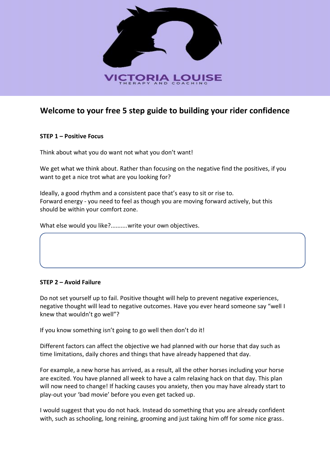

# **Welcome to your free 5 step guide to building your rider confidence**

## **STEP 1 – Positive Focus**

Think about what you do want not what you don't want!

We get what we think about. Rather than focusing on the negative find the positives, if you want to get a nice trot what are you looking for?

Ideally, a good rhythm and a consistent pace that's easy to sit or rise to. Forward energy - you need to feel as though you are moving forward actively, but this should be within your comfort zone.

What else would you like?..........write your own objectives.

#### **STEP 2 – Avoid Failure**

Do not set yourself up to fail. Positive thought will help to prevent negative experiences, negative thought will lead to negative outcomes. Have you ever heard someone say "well I knew that wouldn't go well"?

If you know something isn't going to go well then don't do it!

Different factors can affect the objective we had planned with our horse that day such as time limitations, daily chores and things that have already happened that day.

For example, a new horse has arrived, as a result, all the other horses including your horse are excited. You have planned all week to have a calm relaxing hack on that day. This plan will now need to change! If hacking causes you anxiety, then you may have already start to play-out your 'bad movie' before you even get tacked up.

I would suggest that you do not hack. Instead do something that you are already confident with, such as schooling, long reining, grooming and just taking him off for some nice grass.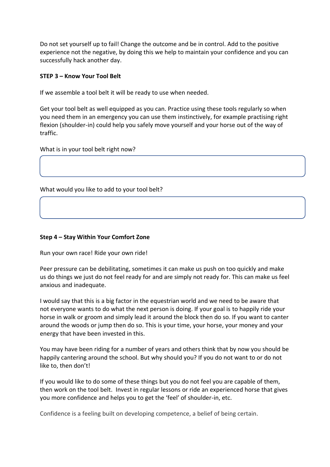Do not set yourself up to fail! Change the outcome and be in control. Add to the positive experience not the negative, by doing this we help to maintain your confidence and you can successfully hack another day.

# **STEP 3 – Know Your Tool Belt**

If we assemble a tool belt it will be ready to use when needed.

Get your tool belt as well equipped as you can. Practice using these tools regularly so when you need them in an emergency you can use them instinctively, for example practising right flexion (shoulder-in) could help you safely move yourself and your horse out of the way of traffic.

What is in your tool belt right now?

What would you like to add to your tool belt?

### **Step 4 – Stay Within Your Comfort Zone**

Run your own race! Ride your own ride!

Peer pressure can be debilitating, sometimes it can make us push on too quickly and make us do things we just do not feel ready for and are simply not ready for. This can make us feel anxious and inadequate.

I would say that this is a big factor in the equestrian world and we need to be aware that not everyone wants to do what the next person is doing. If your goal is to happily ride your horse in walk or groom and simply lead it around the block then do so. If you want to canter around the woods or jump then do so. This is your time, your horse, your money and your energy that have been invested in this.

You may have been riding for a number of years and others think that by now you should be happily cantering around the school. But why should you? If you do not want to or do not like to, then don't!

If you would like to do some of these things but you do not feel you are capable of them, then work on the tool belt. Invest in regular lessons or ride an experienced horse that gives you more confidence and helps you to get the 'feel' of shoulder-in, etc.

Confidence is a feeling built on developing competence, a belief of being certain.